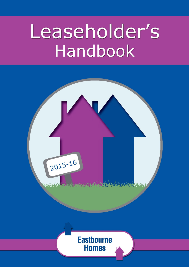# Leaseholder's Handbook

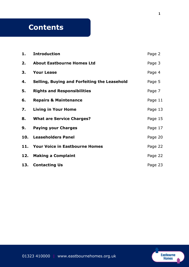# **Contents**

| 1. | <b>Introduction</b>                          | Page 2  |
|----|----------------------------------------------|---------|
| 2. | <b>About Eastbourne Homes Ltd</b>            | Page 3  |
| 3. | <b>Your Lease</b>                            | Page 4  |
| 4. | Selling, Buying and Forfeiting the Leasehold | Page 5  |
| 5. | <b>Rights and Responsibilities</b>           | Page 7  |
| 6. | <b>Repairs &amp; Maintenance</b>             | Page 11 |
| 7. | <b>Living in Your Home</b>                   | Page 13 |
| 8. | <b>What are Service Charges?</b>             | Page 15 |
| 9. | <b>Paying your Charges</b>                   | Page 17 |
|    | 10. Leaseholders Panel                       | Page 20 |
|    | 11. Your Voice in Eastbourne Homes           | Page 22 |
|    | 12. Making a Complaint                       | Page 22 |
|    | 13. Contacting Us                            | Page 23 |

Eastbourne<br>Homes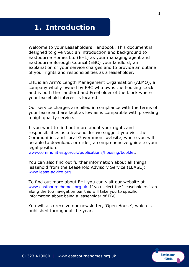## **1. Introduction**

Welcome to your Leaseholders Handbook. This document is designed to give you: an introduction and background to Eastbourne Homes Ltd (EHL) as your managing agent and Eastbourne Borough Council (EBC) your landlord; an explanation of your service charges and to provide an outline of your rights and responsibilities as a leaseholder.

EHL is an Arm's Length Management Organisation (ALMO), a company wholly owned by EBC who owns the housing stock and is both the Landlord and Freeholder of the block where your leasehold interest is located.

Our service charges are billed in compliance with the terms of your lease and are kept as low as is compatible with providing a high quality service.

If you want to find out more about your rights and responsibilities as a leaseholder we suggest you visit the Communities and Local Government website, where you will be able to download, or order, a comprehensive guide to your legal position:

www.communities.gov.uk/publications/housing/booklet.

You can also find out further information about all things leasehold from the Leasehold Advisory Service (LEASE): www.lease-advice.org.

To find out more about EHL you can visit our website at [www.eastbournehomes.org.uk.](http://www.eastbournehomes.org.uk/) If you select the 'Leaseholders' tab along the top navigation bar this will take you to specific information about being a leaseholder of EBC.

You will also receive our newsletter, 'Open House', which is published throughout the year.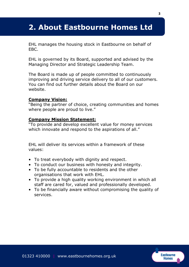### **2. About Eastbourne Homes Ltd**

EHL manages the housing stock in Eastbourne on behalf of EBC.

EHL is governed by its Board, supported and advised by the Managing Director and Strategic Leadership Team.

The Board is made up of people committed to continuously improving and driving service delivery to all of our customers. You can find out further details about the Board on our website.

#### **Company Vision:**

"Being the partner of choice, creating communities and homes where people are proud to live."

#### **Company Mission Statement:**

"To provide and develop excellent value for money services which innovate and respond to the aspirations of all."

EHL will deliver its services within a framework of these values:

- To treat everybody with dignity and respect.
- To conduct our business with honesty and integrity.
- To be fully accountable to residents and the other organisations that work with EHL.
- To provide a high quality working environment in which all staff are cared for, valued and professionally developed.
- To be financially aware without compromising the quality of services.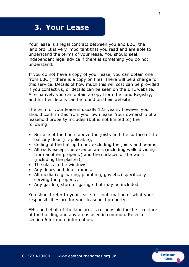### **3. Your Lease**

Your lease is a legal contract between you and EBC, the landlord. It is very important that you read and are able to understand the terms of your lease. You should seek independent legal advice if there is something you do not understand.

If you do not have a copy of your lease, you can obtain one from EBC (if there is a copy on file). There will be a charge for this service. Details of how much this will cost can be provided if you contact us, or details can be seen on the EHL website. Alternatively you can obtain a copy from the Land Registry, and further details can be found on their website.

The term of your lease is usually 125 years; however you should confirm this from your own lease. Your ownership of a leasehold property includes (but is not limited to) the following:

- Surface of the floors above the joists and the surface of the balcony floor (if applicable),
- Ceiling of the flat up to but excluding the joists and beams,
- All walls except the exterior walls (including walls dividing it from another property) and the surfaces of the walls (including the plaster),
- The glass in the windows,
- Any doors and door frames,
- All media (e.g. wiring, plumbing, gas etc.) specifically serving the property,
- Any garden, store or garage that may be included.

You should refer to your lease for confirmation of what your responsibilities are for your leasehold property.

EHL, on behalf of the landlord, is responsible for the structure of the building and any areas used in common. Refer to section 6 for more information.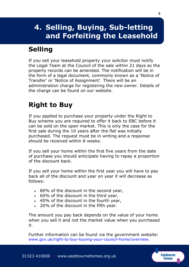# **4. Selling, Buying, Sub-letting and Forfeiting the Leasehold**

# **Selling**

If you sell your leasehold property your solicitor must notify the Legal Team at the Council of the sale within 21 days so the property records can be amended. The notification will be in the form of a legal document, commonly known as a 'Notice of Transfer' or 'Notice of Assignment'. There will be an administration charge for registering the new owner. Details of the charge can be found on our website.

# **Right to Buy**

If you applied to purchase your property under the Right to Buy scheme you are required to offer it back to EBC before it can be sold on the open market. This is only the case for the first sale during the 10 years after the flat was initially purchased. The request must be in writing and a response should be received within 8 weeks.

If you sell your home within the first five years from the date of purchase you should anticipate having to repay a proportion of the discount back.

If you sell your home within the first year you will have to pay back all of the discount and year on year it will decrease as follows:

- 80% of the discount in the second year,
- 60% of the discount in the third year,
- 40% of the discount in the fourth year,
- 20% of the discount in the fifth year.

The amount you pay back depends on the value of your home when you sell it and not the market value when you purchased it.

Further information can be found via the government website: www.gov.uk/right-to-buy-buying-your-council-home/overview.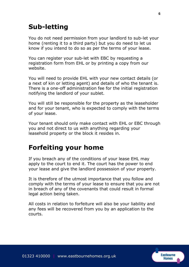### **Sub-letting**

You do not need permission from your landlord to sub-let your home (renting it to a third party) but you do need to let us know if you intend to do so as per the terms of your lease.

You can register your sub-let with EBC by requesting a registration form from EHL or by printing a copy from our website.

You will need to provide EHL with your new contact details (or a next of kin or letting agent) and details of who the tenant is. There is a one-off administration fee for the initial registration notifying the landlord of your sublet.

You will still be responsible for the property as the leaseholder and for your tenant, who is expected to comply with the terms of your lease.

Your tenant should only make contact with EHL or EBC through you and not direct to us with anything regarding your leasehold property or the block it resides in.

### **Forfeiting your home**

If you breach any of the conditions of your lease EHL may apply to the court to end it. The court has the power to end your lease and give the landlord possession of your property.

It is therefore of the utmost importance that you follow and comply with the terms of your lease to ensure that you are not in breach of any of the covenants that could result in formal legal action being taken.

All costs in relation to forfeiture will also be your liability and any fees will be recovered from you by an application to the courts.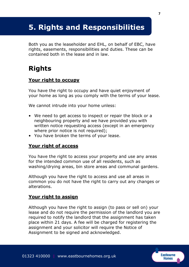# **5. Rights and Responsibilities**

Both you as the leaseholder and EHL, on behalf of EBC, have rights, easements, responsibilities and duties. These can be contained both in the lease and in law.

### **Rights**

### **Your right to occupy**

You have the right to occupy and have quiet enjoyment of your home as long as you comply with the terms of your lease.

We cannot intrude into your home unless:

- We need to get access to inspect or repair the block or a neighbouring property and we have provided you with written notice requesting access (except in an emergency where prior notice is not required);
- You have broken the terms of your lease.

### **Your right of access**

You have the right to access your property and use any areas for the intended common use of all residents, such as washing/drying areas, bin store areas and communal gardens.

Although you have the right to access and use all areas in common you do not have the right to carry out any changes or alterations.

### **Your right to assign**

Although you have the right to assign (to pass or sell on) your lease and do not require the permission of the landlord you are required to notify the landlord that the assignment has taken place within 21 days. A fee will be charged for registering the assignment and your solicitor will require the Notice of Assignment to be signed and acknowledged.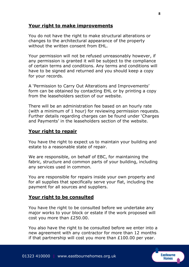#### **Your right to make improvements**

You do not have the right to make structural alterations or changes to the architectural appearance of the property without the written consent from EHL.

Your permission will not be refused unreasonably however, if any permission is granted it will be subject to the compliance of certain terms and conditions. Any terms and conditions will have to be signed and returned and you should keep a copy for your records.

A 'Permission to Carry Out Alterations and Improvements' form can be obtained by contacting EHL or by printing a copy from the leaseholders section of our website.

There will be an administration fee based on an hourly rate (with a minimum of 1 hour) for reviewing permission requests. Further details regarding charges can be found under 'Charges and Payments' in the leaseholders section of the website.

#### **Your right to repair**

You have the right to expect us to maintain your building and estate to a reasonable state of repair.

We are responsible, on behalf of EBC, for maintaining the fabric, structure and common parts of your building, including any services used in common.

You are responsible for repairs inside your own property and for all supplies that specifically serve your flat, including the payment for all sources and suppliers.

#### **Your right to be consulted**

You have the right to be consulted before we undertake any major works to your block or estate if the work proposed will cost you more than £250.00.

You also have the right to be consulted before we enter into a new agreement with any contractor for more than 12 months if that partnership will cost you more than  $£100.00$  per year.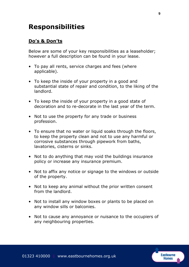### **Responsibilities**

#### **Do's & Don'ts**

Below are some of your key responsibilities as a leaseholder; however a full description can be found in your lease.

- To pay all rents, service charges and fees (where applicable).
- To keep the inside of your property in a good and substantial state of repair and condition, to the liking of the landlord.
- To keep the inside of your property in a good state of decoration and to re-decorate in the last year of the term.
- Not to use the property for any trade or business profession.
- To ensure that no water or liquid soaks through the floors, to keep the property clean and not to use any harmful or corrosive substances through pipework from baths, lavatories, cisterns or sinks.
- Not to do anything that may void the buildings insurance policy or increase any insurance premium.
- Not to affix any notice or signage to the windows or outside of the property.
- Not to keep any animal without the prior written consent from the landlord.
- Not to install any window boxes or plants to be placed on any window sills or balconies.
- Not to cause any annoyance or nuisance to the occupiers of any neighbouring properties.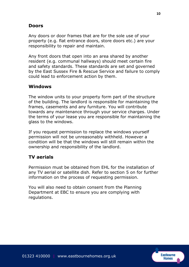### **Doors**

Any doors or door frames that are for the sole use of your property (e.g. flat entrance doors, store doors etc.) are your responsibility to repair and maintain.

Any front doors that open into an area shared by another resident (e.g. communal hallways) should meet certain fire and safety standards. These standards are set and governed by the East Sussex Fire & Rescue Service and failure to comply could lead to enforcement action by them.

### **Windows**

The window units to your property form part of the structure of the building. The landlord is responsible for maintaining the frames, casements and any furniture. You will contribute towards any maintenance through your service charges. Under the terms of your lease you are responsible for maintaining the glass to the windows.

If you request permission to replace the windows yourself permission will not be unreasonably withheld. However a condition will be that the windows will still remain within the ownership and responsibility of the landlord.

### **TV aerials**

Permission must be obtained from EHL for the installation of any TV aerial or satellite dish. Refer to section 5 on for further information on the process of requesting permission.

You will also need to obtain consent from the Planning Department at EBC to ensure you are complying with regulations.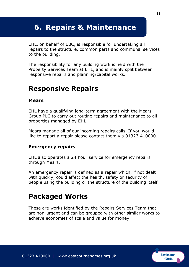# **6. Repairs & Maintenance**

EHL, on behalf of EBC, is responsible for undertaking all repairs to the structure, common parts and communal services to the building.

The responsibility for any building work is held with the Property Services Team at EHL, and is mainly split between responsive repairs and planning/capital works.

### **Responsive Repairs**

#### **Mears**

EHL have a qualifying long-term agreement with the Mears Group PLC to carry out routine repairs and maintenance to all properties managed by EHL.

Mears manage all of our incoming repairs calls. If you would like to report a repair please contact them via 01323 410000.

#### **Emergency repairs**

EHL also operates a 24 hour service for emergency repairs through Mears.

An emergency repair is defined as a repair which, if not dealt with quickly, could affect the health, safety or security of people using the building or the structure of the building itself.

### **Packaged Works**

These are works identified by the Repairs Services Team that are non-urgent and can be grouped with other similar works to achieve economies of scale and value for money.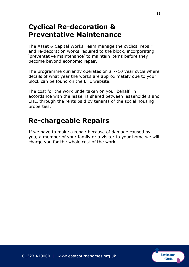### **Cyclical Re-decoration & Preventative Maintenance**

The Asset & Capital Works Team manage the cyclical repair and re-decoration works required to the block, incorporating 'preventative maintenance' to maintain items before they become beyond economic repair.

The programme currently operates on a 7-10 year cycle where details of what year the works are approximately due to your block can be found on the EHL website.

The cost for the work undertaken on your behalf, in accordance with the lease, is shared between leaseholders and EHL, through the rents paid by tenants of the social housing properties.

### **Re-chargeable Repairs**

If we have to make a repair because of damage caused by you, a member of your family or a visitor to your home we will charge you for the whole cost of the work.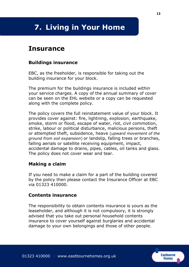# **7. Living in Your Home**

### **Insurance**

#### **Buildings insurance**

EBC, as the freeholder, is responsible for taking out the building insurance for your block.

The premium for the buildings insurance is included within your service charges. A copy of the annual summary of cover can be seen on the EHL website or a copy can be requested along with the complete policy.

The policy covers the full reinstatement value of your block. It provides cover against: fire, lightning, explosion, earthquake, smoke, storm or flood, escape of water, riot, civil commotion, strike, labour or political disturbance, malicious persons, theft or attempted theft, subsidence, heave (*upward movement of the ground from soil expansion*) or landslip, falling trees or branches, falling aerials or satellite receiving equipment, impact, accidental damage to drains, pipes, cables, oil tanks and glass. The policy does not cover wear and tear.

#### **Making a claim**

If you need to make a claim for a part of the building covered by the policy then please contact the Insurance Officer at EBC via 01323 410000.

#### **Contents insurance**

The responsibility to obtain contents insurance is yours as the leaseholder, and although it is not compulsory, it is strongly advised that you take out personal household contents insurance to cover yourself against burglaries and accidental damage to your own belongings and those of other people.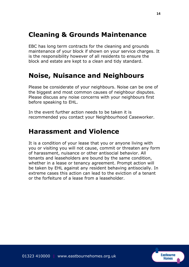### **Cleaning & Grounds Maintenance**

EBC has long term contracts for the cleaning and grounds maintenance of your block if shown on your service charges. It is the responsibility however of all residents to ensure the block and estate are kept to a clean and tidy standard.

### **Noise, Nuisance and Neighbours**

Please be considerate of your neighbours. Noise can be one of the biggest and most common causes of neighbour disputes. Please discuss any noise concerns with your neighbours first before speaking to EHL.

In the event further action needs to be taken it is recommended you contact your Neighbourhood Caseworker.

### **Harassment and Violence**

It is a condition of your lease that you or anyone living with you or visiting you will not cause, commit or threaten any form of harassment, nuisance or other antisocial behavior. All tenants and leaseholders are bound by the same condition, whether in a lease or tenancy agreement. Prompt action will be taken by EHL against any resident behaving antisocially. In extreme cases this action can lead to the eviction of a tenant or the forfeiture of a lease from a leaseholder.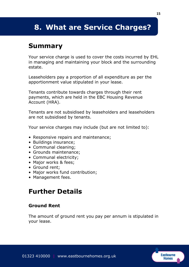# **8. What are Service Charges?**

### **Summary**

Your service charge is used to cover the costs incurred by EHL in managing and maintaining your block and the surrounding estate.

Leaseholders pay a proportion of all expenditure as per the apportionment value stipulated in your lease.

Tenants contribute towards charges through their rent payments, which are held in the EBC Housing Revenue Account (HRA).

Tenants are not subsidised by leaseholders and leaseholders are not subsidised by tenants.

Your service charges may include (but are not limited to):

- Responsive repairs and maintenance;
- Buildings insurance;
- Communal cleaning;
- Grounds maintenance;
- Communal electricity;
- Major works & fees;
- Ground rent;
- Major works fund contribution;
- Management fees.

### **Further Details**

### **Ground Rent**

The amount of ground rent you pay per annum is stipulated in your lease.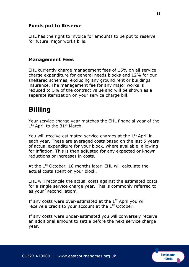### **Funds put to Reserve**

EHL has the right to invoice for amounts to be put to reserve for future major works bills.

#### **Management Fees**

EHL currently charge management fees of 15% on all service charge expenditure for general needs blocks and 12% for our sheltered schemes, excluding any ground rent or buildings insurance. The management fee for any major works is reduced to 5% of the contract value and will be shown as a separate itemization on your service charge bill.

### **Billing**

Your service charge year matches the EHL financial year of the 1<sup>st</sup> April to the 31<sup>st</sup> March.

You will receive estimated service charges at the  $1<sup>st</sup>$  April in each year. These are averaged costs based on the last 5 years of actual expenditure for your block, where available, allowing for inflation. This is then adjusted for any expected or known reductions or increases in costs.

At the  $1<sup>st</sup>$  October, 18 months later, EHL will calculate the actual costs spent on your block.

EHL will reconcile the actual costs against the estimated costs for a single service charge year. This is commonly referred to as your 'Reconciliation'.

If any costs were over-estimated at the  $1<sup>st</sup>$  April you will receive a credit to your account at the  $1<sup>st</sup>$  October.

If any costs were under-estimated you will conversely receive an additional amount to settle before the next service charge year.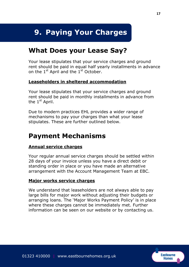# **9. Paying Your Charges**

### **What Does your Lease Say?**

Your lease stipulates that your service charges and ground rent should be paid in equal half yearly installments in advance on the  $1<sup>st</sup>$  April and the  $1<sup>st</sup>$  October.

#### **Leaseholders in sheltered accommodation**

Your lease stipulates that your service charges and ground rent should be paid in monthly installments in advance from the 1<sup>st</sup> April.

Due to modern practices EHL provides a wider range of mechanisms to pay your charges than what your lease stipulates. These are further outlined below.

### **Payment Mechanisms**

#### **Annual service charges**

Your regular annual service charges should be settled within 28 days of your invoice unless you have a direct debit or standing order in place or you have made an alternative arrangement with the Account Management Team at EBC.

#### **Major works service charges**

We understand that leaseholders are not always able to pay large bills for major work without adjusting their budgets or arranging loans. The 'Major Works Payment Policy' is in place where these charges cannot be immediately met. Further information can be seen on our website or by contacting us.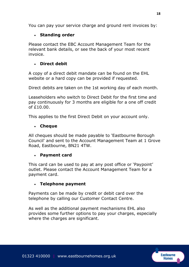You can pay your service charge and ground rent invoices by:

### **Standing order**

Please contact the EBC Account Management Team for the relevant bank details, or see the back of your most recent invoice.

### **Direct debit**

A copy of a direct debit mandate can be found on the EHL website or a hard copy can be provided if requested.

Direct debits are taken on the 1st working day of each month.

Leaseholders who switch to Direct Debit for the first time and pay continuously for 3 months are eligible for a one off credit  $of f10.00.$ 

This applies to the first Direct Debit on your account only.

### **Cheque**

All cheques should be made payable to 'Eastbourne Borough Council' and sent to the Account Management Team at 1 Grove Road, Eastbourne, BN21 4TW.

### **Payment card**

This card can be used to pay at any post office or 'Paypoint' outlet. Please contact the Account Management Team for a payment card.

### **Telephone payment**

Payments can be made by credit or debit card over the telephone by calling our Customer Contact Centre.

As well as the additional payment mechanisms EHL also provides some further options to pay your charges, especially where the charges are significant.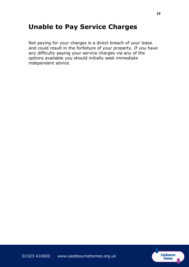### **Unable to Pay Service Charges**

Not paying for your charges is a direct breach of your lease and could result in the forfeiture of your property. If you have any difficulty paying your service charges via any of the options available you should initially seek immediate independent advice.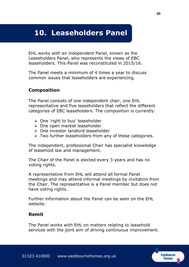# **10. Leaseholders Panel**

EHL works with an independent Panel, known as the Leaseholders Panel, who represents the views of EBC leaseholders. This Panel was reconstituted in 2015/16.

The Panel meets a minimum of 4 times a year to discuss common issues that leaseholders are experiencing.

### **Composition**

The Panel consists of one independent chair, one EHL representative and five leaseholders that reflect the different categories of EBC leaseholders. The composition is currently:

- $\triangleright$  One 'right to buy' leaseholder
- ▶ One open market leaseholder
- One investor landlord leaseholder
- $\triangleright$  Two further leaseholders from any of these categories.

The independent, professional Chair has specialist knowledge of leasehold law and management.

The Chair of the Panel is elected every 3 years and has no voting rights.

A representative from EHL will attend all formal Panel meetings and may attend informal meetings by invitation from the Chair. The representative is a Panel member but does not have voting rights.

Further information about the Panel can be seen on the EHL website.

### **Remit**

The Panel works with EHL on matters relating to leasehold services with the joint aim of driving continuous improvement.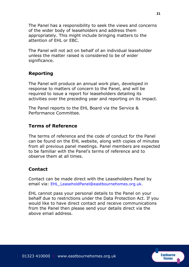The Panel has a responsibility to seek the views and concerns of the wider body of leaseholders and address them appropriately. This might include bringing matters to the attention of EHL or EBC.

The Panel will not act on behalf of an individual leaseholder unless the matter raised is considered to be of wider significance.

### **Reporting**

The Panel will produce an annual work plan, developed in response to matters of concern to the Panel, and will be required to issue a report for leaseholders detailing its activities over the preceding year and reporting on its impact.

The Panel reports to the EHL Board via the Service & Performance Committee.

#### **Terms of Reference**

The terms of reference and the code of conduct for the Panel can be found on the EHL website, along with copies of minutes from all previous panel meetings. Panel members are expected to be familiar with the Panel's terms of reference and to observe them at all times.

#### **Contact**

Contact can be made direct with the Leaseholders Panel by email via: EHL\_LeaseholdPanel@eastbournehomes.org.uk.

EHL cannot pass your personal details to the Panel on your behalf due to restrictions under the Data Protection Act. If you would like to have direct contact and receive communications from the Panel then please send your details direct via the above email address.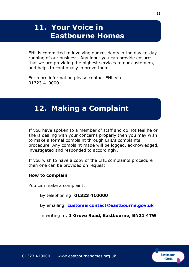# **11. Your Voice in Eastbourne Homes**

EHL is committed to involving our residents in the day-to-day running of our business. Any input you can provide ensures that we are providing the highest services to our customers, and helps to continually improve them.

For more information please contact EHL via 01323 410000.

### **12. Making a Complaint**

If you have spoken to a member of staff and do not feel he or she is dealing with your concerns properly then you may wish to make a formal complaint through EHL's complaints procedure. Any complaint made will be logged, acknowledged, investigated and responded to accordingly.

If you wish to have a copy of the EHL complaints procedure then one can be provided on request.

#### **How to complain**

You can make a complaint:

By telephoning: **01323 410000**

By emailing: **[customercontact@eastbourne.gov.uk](mailto:customercontact@eastbourne.gov.uk)**

In writing to: **1 Grove Road, Eastbourne, BN21 4TW**